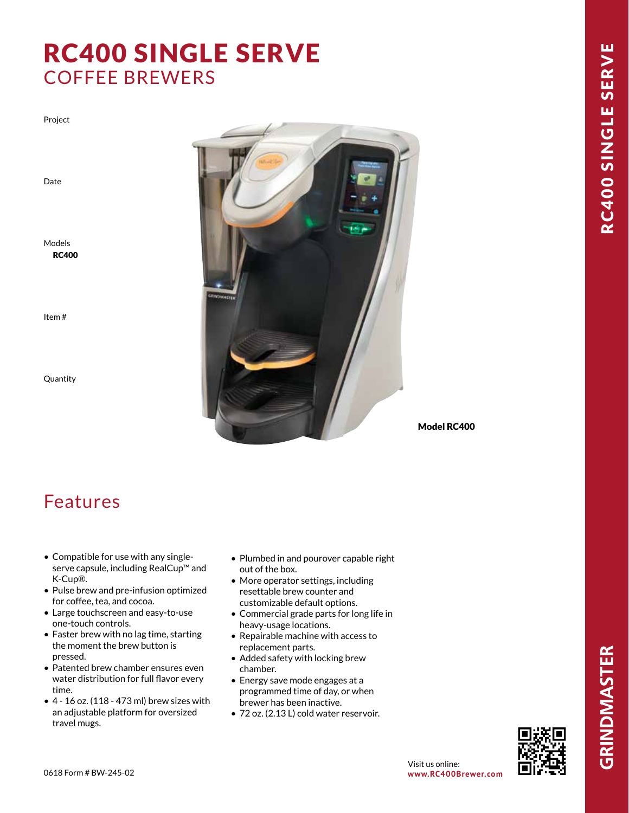# RC400 SINGLE SERVE COFFEE BREWERS

Project

Date

Models RC400

Item #

Quantity



Model RC400

### Features

- Compatible for use with any singleserve capsule, including RealCup™ and K-Cup®.
- Pulse brew and pre-infusion optimized for coffee, tea, and cocoa.
- Large touchscreen and easy-to-use one-touch controls.
- Faster brew with no lag time, starting the moment the brew button is pressed.
- Patented brew chamber ensures even water distribution for full flavor every time.
- 4 16 oz. (118 473 ml) brew sizes with an adjustable platform for oversized travel mugs.
- Plumbed in and pourover capable right out of the box.
- More operator settings, including resettable brew counter and customizable default options.
- Commercial grade parts for long life in heavy-usage locations.
- Repairable machine with access to replacement parts.
- Added safety with locking brew chamber.
- Energy save mode engages at a programmed time of day, or when brewer has been inactive.
- 72 oz. (2.13 L) cold water reservoir.